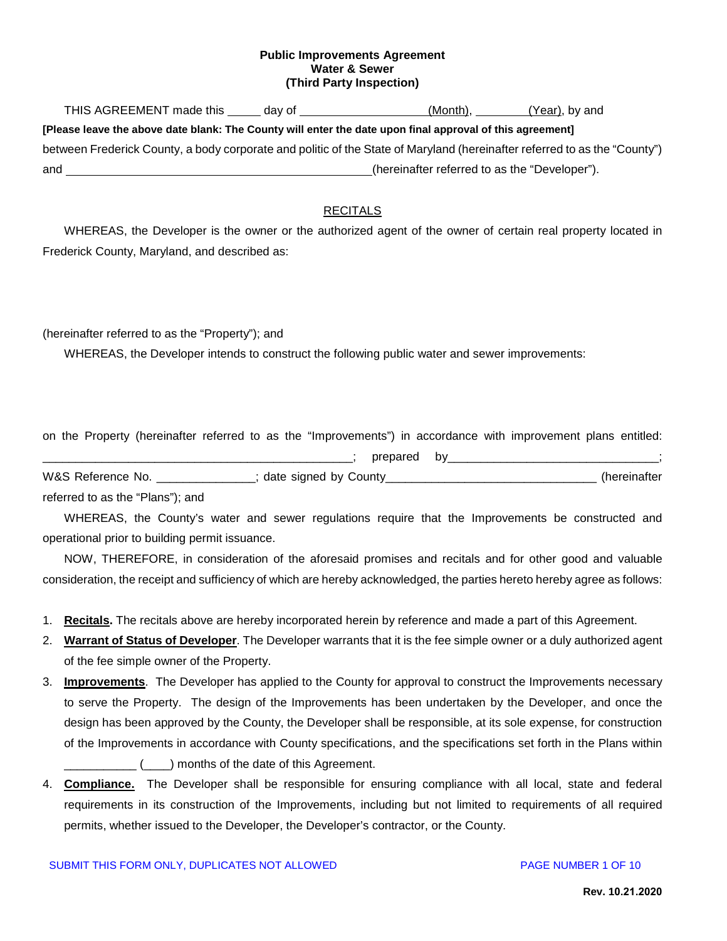### **Public Improvements Agreement Water & Sewer (Third Party Inspection)**

THIS AGREEMENT made this day of (Month), (Year), by and **[Please leave the above date blank: The County will enter the date upon final approval of this agreement]** between Frederick County, a body corporate and politic of the State of Maryland (hereinafter referred to as the "County") and (hereinafter referred to as the "Developer").

## RECITALS

WHEREAS, the Developer is the owner or the authorized agent of the owner of certain real property located in Frederick County, Maryland, and described as:

## (hereinafter referred to as the "Property"); and

WHEREAS, the Developer intends to construct the following public water and sewer improvements:

on the Property (hereinafter referred to as the "Improvements") in accordance with improvement plans entitled:

|                                  |                          | prepared by |              |
|----------------------------------|--------------------------|-------------|--------------|
| W&S Reference No.                | ; date signed by County_ |             | (hereinafter |
| referred to as the "Plans"); and |                          |             |              |

WHEREAS, the County's water and sewer regulations require that the Improvements be constructed and operational prior to building permit issuance.

NOW, THEREFORE, in consideration of the aforesaid promises and recitals and for other good and valuable consideration, the receipt and sufficiency of which are hereby acknowledged, the parties hereto hereby agree as follows:

- 1. **Recitals.** The recitals above are hereby incorporated herein by reference and made a part of this Agreement.
- 2. **Warrant of Status of Developer**. The Developer warrants that it is the fee simple owner or a duly authorized agent of the fee simple owner of the Property.
- 3. **Improvements**. The Developer has applied to the County for approval to construct the Improvements necessary to serve the Property. The design of the Improvements has been undertaken by the Developer, and once the design has been approved by the County, the Developer shall be responsible, at its sole expense, for construction of the Improvements in accordance with County specifications, and the specifications set forth in the Plans within  $\frac{1}{1}$  (  $\frac{1}{1}$  months of the date of this Agreement.
- 4. **Compliance.** The Developer shall be responsible for ensuring compliance with all local, state and federal requirements in its construction of the Improvements, including but not limited to requirements of all required permits, whether issued to the Developer, the Developer's contractor, or the County.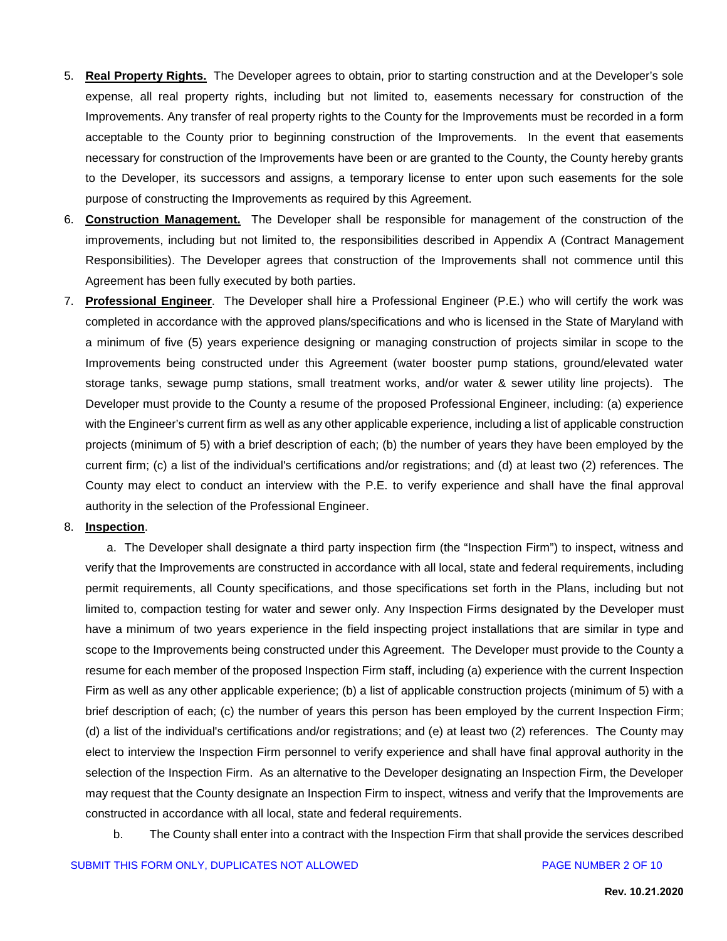- 5. **Real Property Rights.** The Developer agrees to obtain, prior to starting construction and at the Developer's sole expense, all real property rights, including but not limited to, easements necessary for construction of the Improvements. Any transfer of real property rights to the County for the Improvements must be recorded in a form acceptable to the County prior to beginning construction of the Improvements. In the event that easements necessary for construction of the Improvements have been or are granted to the County, the County hereby grants to the Developer, its successors and assigns, a temporary license to enter upon such easements for the sole purpose of constructing the Improvements as required by this Agreement.
- 6. **Construction Management.** The Developer shall be responsible for management of the construction of the improvements, including but not limited to, the responsibilities described in Appendix A (Contract Management Responsibilities). The Developer agrees that construction of the Improvements shall not commence until this Agreement has been fully executed by both parties.
- 7. **Professional Engineer**. The Developer shall hire a Professional Engineer (P.E.) who will certify the work was completed in accordance with the approved plans/specifications and who is licensed in the State of Maryland with a minimum of five (5) years experience designing or managing construction of projects similar in scope to the Improvements being constructed under this Agreement (water booster pump stations, ground/elevated water storage tanks, sewage pump stations, small treatment works, and/or water & sewer utility line projects). The Developer must provide to the County a resume of the proposed Professional Engineer, including: (a) experience with the Engineer's current firm as well as any other applicable experience, including a list of applicable construction projects (minimum of 5) with a brief description of each; (b) the number of years they have been employed by the current firm; (c) a list of the individual's certifications and/or registrations; and (d) at least two (2) references. The County may elect to conduct an interview with the P.E. to verify experience and shall have the final approval authority in the selection of the Professional Engineer.

#### 8. **Inspection**.

a. The Developer shall designate a third party inspection firm (the "Inspection Firm") to inspect, witness and verify that the Improvements are constructed in accordance with all local, state and federal requirements, including permit requirements, all County specifications, and those specifications set forth in the Plans, including but not limited to, compaction testing for water and sewer only. Any Inspection Firms designated by the Developer must have a minimum of two years experience in the field inspecting project installations that are similar in type and scope to the Improvements being constructed under this Agreement. The Developer must provide to the County a resume for each member of the proposed Inspection Firm staff, including (a) experience with the current Inspection Firm as well as any other applicable experience; (b) a list of applicable construction projects (minimum of 5) with a brief description of each; (c) the number of years this person has been employed by the current Inspection Firm; (d) a list of the individual's certifications and/or registrations; and (e) at least two (2) references. The County may elect to interview the Inspection Firm personnel to verify experience and shall have final approval authority in the selection of the Inspection Firm. As an alternative to the Developer designating an Inspection Firm, the Developer may request that the County designate an Inspection Firm to inspect, witness and verify that the Improvements are constructed in accordance with all local, state and federal requirements.

b. The County shall enter into a contract with the Inspection Firm that shall provide the services described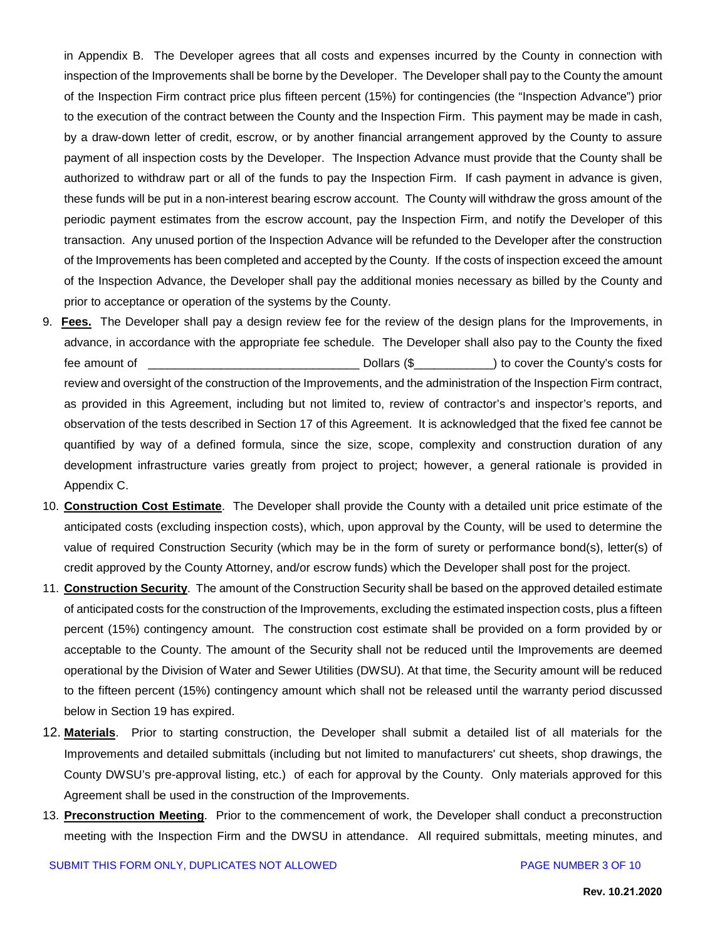in Appendix B. The Developer agrees that all costs and expenses incurred by the County in connection with inspection of the Improvements shall be borne by the Developer. The Developer shall pay to the County the amount of the Inspection Firm contract price plus fifteen percent (15%) for contingencies (the "Inspection Advance") prior to the execution of the contract between the County and the Inspection Firm. This payment may be made in cash, by a draw-down letter of credit, escrow, or by another financial arrangement approved by the County to assure payment of all inspection costs by the Developer. The Inspection Advance must provide that the County shall be authorized to withdraw part or all of the funds to pay the Inspection Firm. If cash payment in advance is given, these funds will be put in a non-interest bearing escrow account. The County will withdraw the gross amount of the periodic payment estimates from the escrow account, pay the Inspection Firm, and notify the Developer of this transaction. Any unused portion of the Inspection Advance will be refunded to the Developer after the construction of the Improvements has been completed and accepted by the County. If the costs of inspection exceed the amount of the Inspection Advance, the Developer shall pay the additional monies necessary as billed by the County and prior to acceptance or operation of the systems by the County.

- 9. **Fees.** The Developer shall pay a design review fee for the review of the design plans for the Improvements, in advance, in accordance with the appropriate fee schedule. The Developer shall also pay to the County the fixed fee amount of  $\Box$  Dollars (\$  $\Box$ ) to cover the County's costs for review and oversight of the construction of the Improvements, and the administration of the Inspection Firm contract, as provided in this Agreement, including but not limited to, review of contractor's and inspector's reports, and observation of the tests described in Section 17 of this Agreement. It is acknowledged that the fixed fee cannot be quantified by way of a defined formula, since the size, scope, complexity and construction duration of any development infrastructure varies greatly from project to project; however, a general rationale is provided in Appendix C.
- 10. **Construction Cost Estimate**. The Developer shall provide the County with a detailed unit price estimate of the anticipated costs (excluding inspection costs), which, upon approval by the County, will be used to determine the value of required Construction Security (which may be in the form of surety or performance bond(s), letter(s) of credit approved by the County Attorney, and/or escrow funds) which the Developer shall post for the project.
- 11. **Construction Security**. The amount of the Construction Security shall be based on the approved detailed estimate of anticipated costs for the construction of the Improvements, excluding the estimated inspection costs, plus a fifteen percent (15%) contingency amount. The construction cost estimate shall be provided on a form provided by or acceptable to the County. The amount of the Security shall not be reduced until the Improvements are deemed operational by the Division of Water and Sewer Utilities (DWSU). At that time, the Security amount will be reduced to the fifteen percent (15%) contingency amount which shall not be released until the warranty period discussed below in Section 19 has expired.
- 12. **Materials**. Prior to starting construction, the Developer shall submit a detailed list of all materials for the Improvements and detailed submittals (including but not limited to manufacturers' cut sheets, shop drawings, the County DWSU's pre-approval listing, etc.) of each for approval by the County. Only materials approved for this Agreement shall be used in the construction of the Improvements.
- 13. **Preconstruction Meeting**. Prior to the commencement of work, the Developer shall conduct a preconstruction meeting with the Inspection Firm and the DWSU in attendance. All required submittals, meeting minutes, and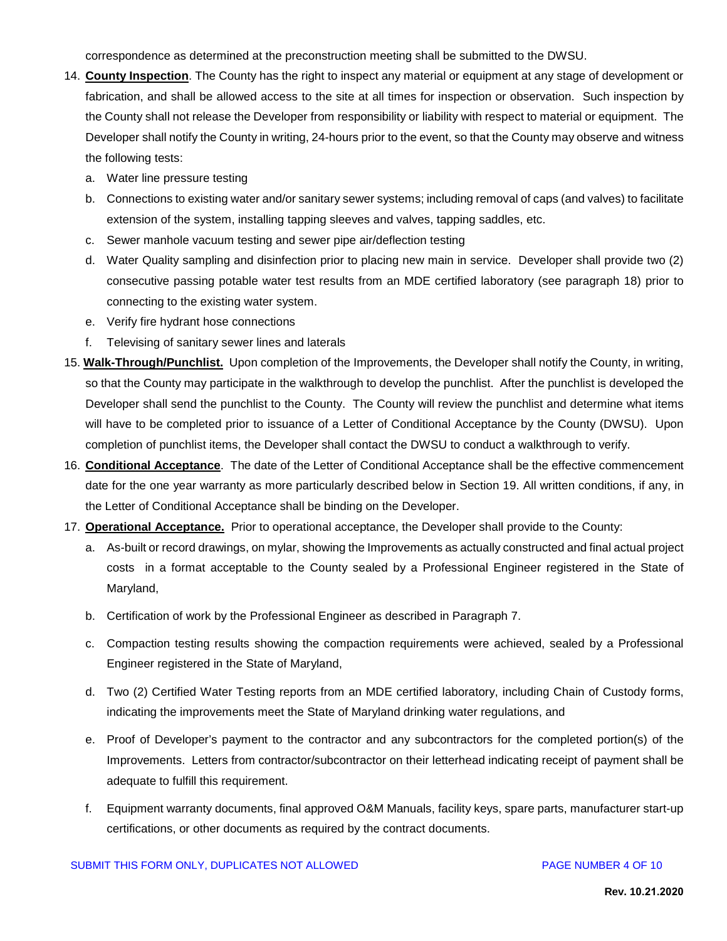correspondence as determined at the preconstruction meeting shall be submitted to the DWSU.

- 14. **County Inspection**. The County has the right to inspect any material or equipment at any stage of development or fabrication, and shall be allowed access to the site at all times for inspection or observation. Such inspection by the County shall not release the Developer from responsibility or liability with respect to material or equipment. The Developer shall notify the County in writing, 24-hours prior to the event, so that the County may observe and witness the following tests:
	- a. Water line pressure testing
	- b. Connections to existing water and/or sanitary sewer systems; including removal of caps (and valves) to facilitate extension of the system, installing tapping sleeves and valves, tapping saddles, etc.
	- c. Sewer manhole vacuum testing and sewer pipe air/deflection testing
	- d. Water Quality sampling and disinfection prior to placing new main in service. Developer shall provide two (2) consecutive passing potable water test results from an MDE certified laboratory (see paragraph 18) prior to connecting to the existing water system.
	- e. Verify fire hydrant hose connections
	- f. Televising of sanitary sewer lines and laterals
- 15. **Walk-Through/Punchlist.** Upon completion of the Improvements, the Developer shall notify the County, in writing, so that the County may participate in the walkthrough to develop the punchlist. After the punchlist is developed the Developer shall send the punchlist to the County. The County will review the punchlist and determine what items will have to be completed prior to issuance of a Letter of Conditional Acceptance by the County (DWSU). Upon completion of punchlist items, the Developer shall contact the DWSU to conduct a walkthrough to verify.
- 16. **Conditional Acceptance**. The date of the Letter of Conditional Acceptance shall be the effective commencement date for the one year warranty as more particularly described below in Section 19. All written conditions, if any, in the Letter of Conditional Acceptance shall be binding on the Developer.
- 17. **Operational Acceptance.** Prior to operational acceptance, the Developer shall provide to the County:
	- a. As-built or record drawings, on mylar, showing the Improvements as actually constructed and final actual project costs in a format acceptable to the County sealed by a Professional Engineer registered in the State of Maryland,
	- b. Certification of work by the Professional Engineer as described in Paragraph 7.
	- c. Compaction testing results showing the compaction requirements were achieved, sealed by a Professional Engineer registered in the State of Maryland,
	- d. Two (2) Certified Water Testing reports from an MDE certified laboratory, including Chain of Custody forms, indicating the improvements meet the State of Maryland drinking water regulations, and
	- e. Proof of Developer's payment to the contractor and any subcontractors for the completed portion(s) of the Improvements. Letters from contractor/subcontractor on their letterhead indicating receipt of payment shall be adequate to fulfill this requirement.
	- f. Equipment warranty documents, final approved O&M Manuals, facility keys, spare parts, manufacturer start-up certifications, or other documents as required by the contract documents.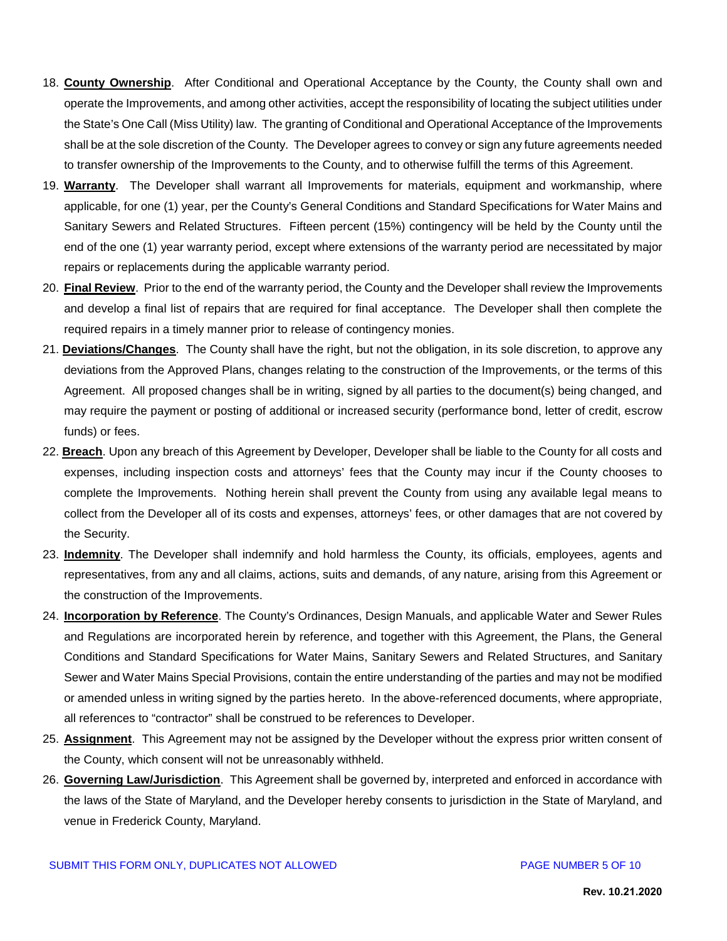- 18. **County Ownership**. After Conditional and Operational Acceptance by the County, the County shall own and operate the Improvements, and among other activities, accept the responsibility of locating the subject utilities under the State's One Call (Miss Utility) law. The granting of Conditional and Operational Acceptance of the Improvements shall be at the sole discretion of the County. The Developer agrees to convey or sign any future agreements needed to transfer ownership of the Improvements to the County, and to otherwise fulfill the terms of this Agreement.
- 19. **Warranty**. The Developer shall warrant all Improvements for materials, equipment and workmanship, where applicable, for one (1) year, per the County's General Conditions and Standard Specifications for Water Mains and Sanitary Sewers and Related Structures. Fifteen percent (15%) contingency will be held by the County until the end of the one (1) year warranty period, except where extensions of the warranty period are necessitated by major repairs or replacements during the applicable warranty period.
- 20. **Final Review**. Prior to the end of the warranty period, the County and the Developer shall review the Improvements and develop a final list of repairs that are required for final acceptance. The Developer shall then complete the required repairs in a timely manner prior to release of contingency monies.
- 21. **Deviations/Changes**. The County shall have the right, but not the obligation, in its sole discretion, to approve any deviations from the Approved Plans, changes relating to the construction of the Improvements, or the terms of this Agreement. All proposed changes shall be in writing, signed by all parties to the document(s) being changed, and may require the payment or posting of additional or increased security (performance bond, letter of credit, escrow funds) or fees.
- 22. **Breach**. Upon any breach of this Agreement by Developer, Developer shall be liable to the County for all costs and expenses, including inspection costs and attorneys' fees that the County may incur if the County chooses to complete the Improvements. Nothing herein shall prevent the County from using any available legal means to collect from the Developer all of its costs and expenses, attorneys' fees, or other damages that are not covered by the Security.
- 23. **Indemnity**. The Developer shall indemnify and hold harmless the County, its officials, employees, agents and representatives, from any and all claims, actions, suits and demands, of any nature, arising from this Agreement or the construction of the Improvements.
- 24. **Incorporation by Reference**. The County's Ordinances, Design Manuals, and applicable Water and Sewer Rules and Regulations are incorporated herein by reference, and together with this Agreement, the Plans, the General Conditions and Standard Specifications for Water Mains, Sanitary Sewers and Related Structures, and Sanitary Sewer and Water Mains Special Provisions, contain the entire understanding of the parties and may not be modified or amended unless in writing signed by the parties hereto. In the above-referenced documents, where appropriate, all references to "contractor" shall be construed to be references to Developer.
- 25. **Assignment**. This Agreement may not be assigned by the Developer without the express prior written consent of the County, which consent will not be unreasonably withheld.
- 26. **Governing Law/Jurisdiction**. This Agreement shall be governed by, interpreted and enforced in accordance with the laws of the State of Maryland, and the Developer hereby consents to jurisdiction in the State of Maryland, and venue in Frederick County, Maryland.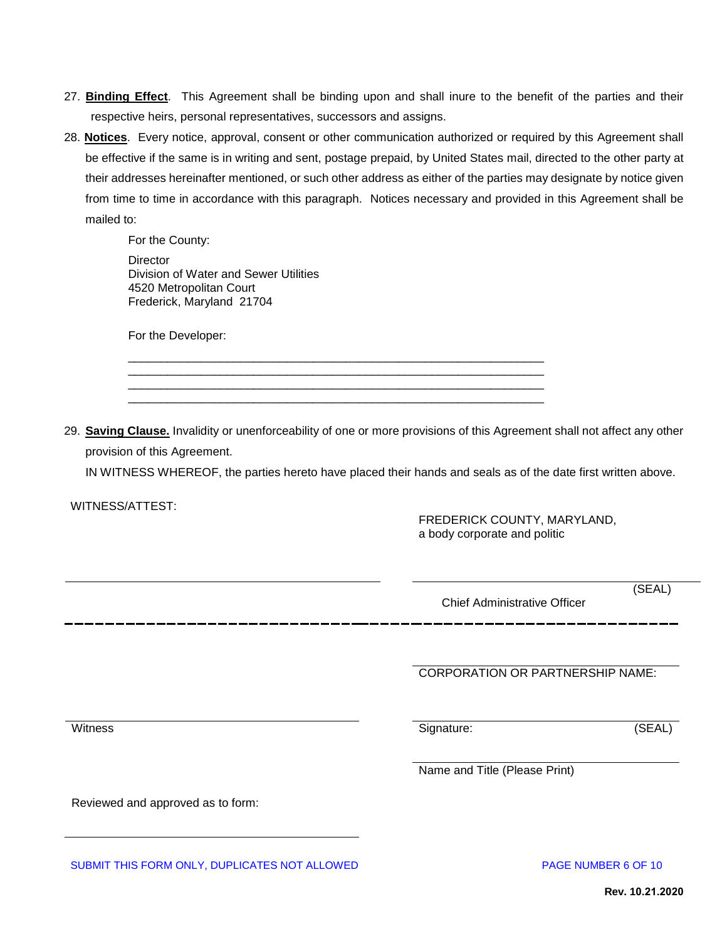- 27. **Binding Effect**. This Agreement shall be binding upon and shall inure to the benefit of the parties and their respective heirs, personal representatives, successors and assigns.
- 28. **Notices**. Every notice, approval, consent or other communication authorized or required by this Agreement shall be effective if the same is in writing and sent, postage prepaid, by United States mail, directed to the other party at their addresses hereinafter mentioned, or such other address as either of the parties may designate by notice given from time to time in accordance with this paragraph. Notices necessary and provided in this Agreement shall be mailed to:

For the County: **Director** Division of Water and Sewer Utilities 4520 Metropolitan Court

Frederick, Maryland 21704

For the Developer:

29. **Saving Clause.** Invalidity or unenforceability of one or more provisions of this Agreement shall not affect any other provision of this Agreement.

\_\_\_\_\_\_\_\_\_\_\_\_\_\_\_\_\_\_\_\_\_\_\_\_\_\_\_\_\_\_\_\_\_\_\_\_\_\_\_\_\_\_\_\_\_\_\_\_\_\_\_\_\_\_\_\_\_\_\_\_\_\_\_ \_\_\_\_\_\_\_\_\_\_\_\_\_\_\_\_\_\_\_\_\_\_\_\_\_\_\_\_\_\_\_\_\_\_\_\_\_\_\_\_\_\_\_\_\_\_\_\_\_\_\_\_\_\_\_\_\_\_\_\_\_\_\_ \_\_\_\_\_\_\_\_\_\_\_\_\_\_\_\_\_\_\_\_\_\_\_\_\_\_\_\_\_\_\_\_\_\_\_\_\_\_\_\_\_\_\_\_\_\_\_\_\_\_\_\_\_\_\_\_\_\_\_\_\_\_\_ \_\_\_\_\_\_\_\_\_\_\_\_\_\_\_\_\_\_\_\_\_\_\_\_\_\_\_\_\_\_\_\_\_\_\_\_\_\_\_\_\_\_\_\_\_\_\_\_\_\_\_\_\_\_\_\_\_\_\_\_\_\_\_

IN WITNESS WHEREOF, the parties hereto have placed their hands and seals as of the date first written above.

WITNESS/ATTEST:

FREDERICK COUNTY, MARYLAND, a body corporate and politic

Chief Administrative Officer

(SEAL)

CORPORATION OR PARTNERSHIP NAME:

Witness Signature: (SEAL)

Name and Title (Please Print)

Reviewed and approved as to form:

SUBMIT THIS FORM ONLY, DUPLICATES NOT ALLOWED **Example 20 SUBMIT THIS FORM ONLY 0.** PAGE NUMBER 6 OF 10

**Rev. 10.21.2020**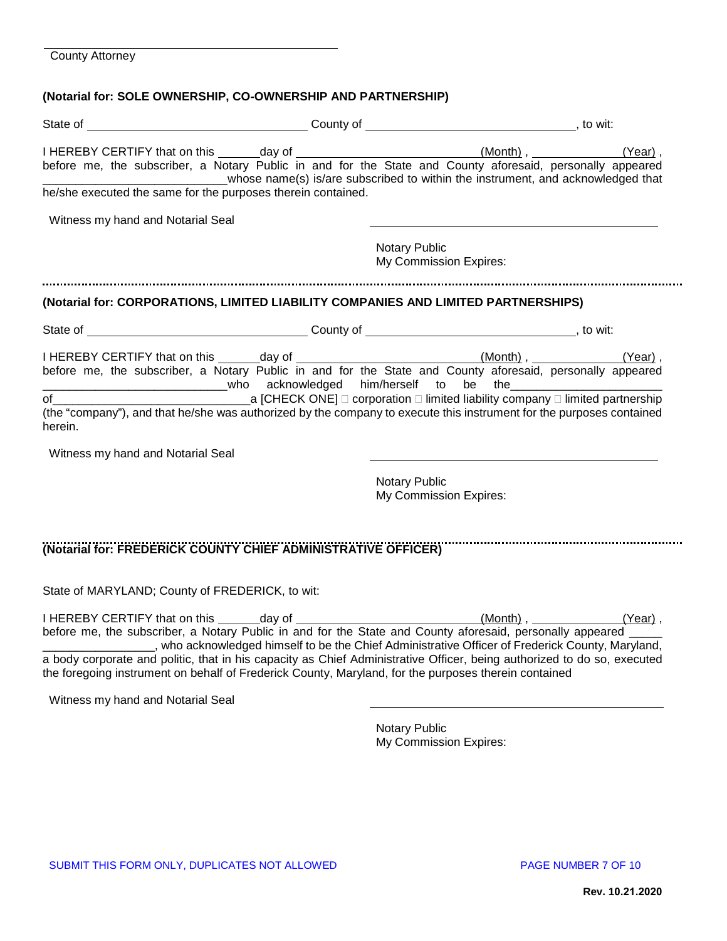# **(Notarial for: SOLE OWNERSHIP, CO-OWNERSHIP AND PARTNERSHIP)**

| ________________________________whose name(s) is/are subscribed to within the instrument, and acknowledged that<br>he/she executed the same for the purposes therein contained.                                                                                                                                                                      |                                                                                                          |                        |  |
|------------------------------------------------------------------------------------------------------------------------------------------------------------------------------------------------------------------------------------------------------------------------------------------------------------------------------------------------------|----------------------------------------------------------------------------------------------------------|------------------------|--|
| Witness my hand and Notarial Seal                                                                                                                                                                                                                                                                                                                    | Notary Public                                                                                            | My Commission Expires: |  |
| (Notarial for: CORPORATIONS, LIMITED LIABILITY COMPANIES AND LIMITED PARTNERSHIPS)                                                                                                                                                                                                                                                                   |                                                                                                          |                        |  |
|                                                                                                                                                                                                                                                                                                                                                      |                                                                                                          |                        |  |
| (the "company"), and that he/she was authorized by the company to execute this instrument for the purposes contained<br>herein.<br>Witness my hand and Notarial Seal                                                                                                                                                                                 | ___________________________who acknowledged him/herself to be the_______________<br><b>Notary Public</b> | My Commission Expires: |  |
| (Notarial for: FREDERICK COUNTY CHIEF ADMINISTRATIVE OFFICER)                                                                                                                                                                                                                                                                                        |                                                                                                          |                        |  |
| State of MARYLAND; County of FREDERICK, to wit:                                                                                                                                                                                                                                                                                                      |                                                                                                          |                        |  |
| _________________, who acknowledged himself to be the Chief Administrative Officer of Frederick County, Maryland,<br>a body corporate and politic, that in his capacity as Chief Administrative Officer, being authorized to do so, executed<br>the foregoing instrument on behalf of Frederick County, Maryland, for the purposes therein contained |                                                                                                          |                        |  |
| Witness my hand and Notarial Seal                                                                                                                                                                                                                                                                                                                    |                                                                                                          |                        |  |

Notary Public My Commission Expires: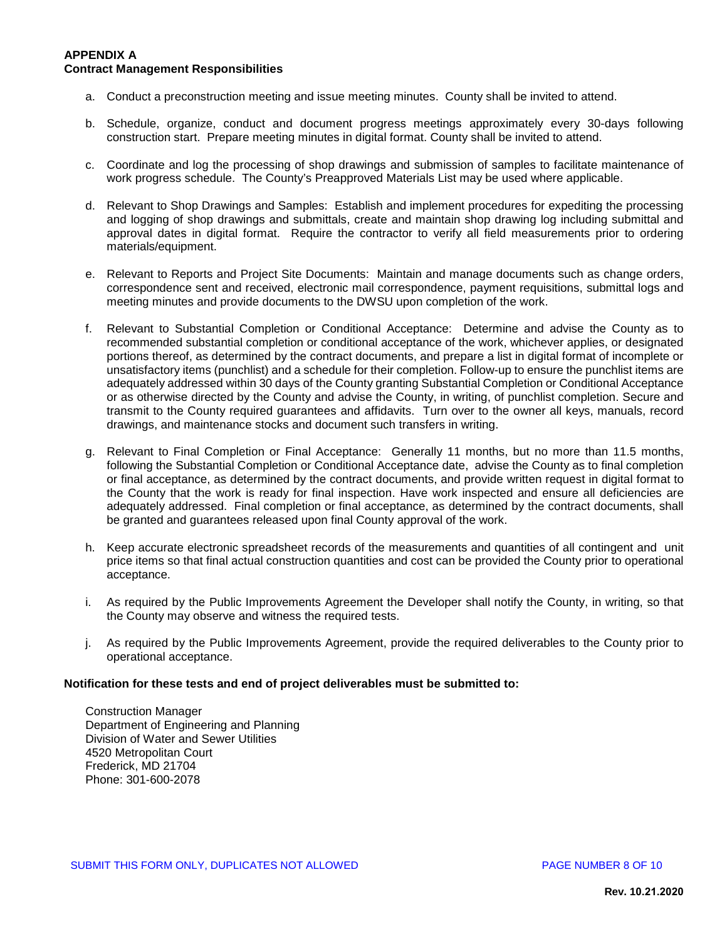### **APPENDIX A Contract Management Responsibilities**

- a. Conduct a preconstruction meeting and issue meeting minutes. County shall be invited to attend.
- b. Schedule, organize, conduct and document progress meetings approximately every 30-days following construction start. Prepare meeting minutes in digital format. County shall be invited to attend.
- c. Coordinate and log the processing of shop drawings and submission of samples to facilitate maintenance of work progress schedule. The County's Preapproved Materials List may be used where applicable.
- d. Relevant to Shop Drawings and Samples: Establish and implement procedures for expediting the processing and logging of shop drawings and submittals, create and maintain shop drawing log including submittal and approval dates in digital format. Require the contractor to verify all field measurements prior to ordering materials/equipment.
- e. Relevant to Reports and Project Site Documents: Maintain and manage documents such as change orders, correspondence sent and received, electronic mail correspondence, payment requisitions, submittal logs and meeting minutes and provide documents to the DWSU upon completion of the work.
- f. Relevant to Substantial Completion or Conditional Acceptance: Determine and advise the County as to recommended substantial completion or conditional acceptance of the work, whichever applies, or designated portions thereof, as determined by the contract documents, and prepare a list in digital format of incomplete or unsatisfactory items (punchlist) and a schedule for their completion. Follow-up to ensure the punchlist items are adequately addressed within 30 days of the County granting Substantial Completion or Conditional Acceptance or as otherwise directed by the County and advise the County, in writing, of punchlist completion. Secure and transmit to the County required guarantees and affidavits. Turn over to the owner all keys, manuals, record drawings, and maintenance stocks and document such transfers in writing.
- g. Relevant to Final Completion or Final Acceptance: Generally 11 months, but no more than 11.5 months, following the Substantial Completion or Conditional Acceptance date, advise the County as to final completion or final acceptance, as determined by the contract documents, and provide written request in digital format to the County that the work is ready for final inspection. Have work inspected and ensure all deficiencies are adequately addressed. Final completion or final acceptance, as determined by the contract documents, shall be granted and guarantees released upon final County approval of the work.
- h. Keep accurate electronic spreadsheet records of the measurements and quantities of all contingent and unit price items so that final actual construction quantities and cost can be provided the County prior to operational acceptance.
- i. As required by the Public Improvements Agreement the Developer shall notify the County, in writing, so that the County may observe and witness the required tests.
- j. As required by the Public Improvements Agreement, provide the required deliverables to the County prior to operational acceptance.

#### **Notification for these tests and end of project deliverables must be submitted to:**

Construction Manager Department of Engineering and Planning Division of Water and Sewer Utilities 4520 Metropolitan Court Frederick, MD 21704 Phone: 301-600-2078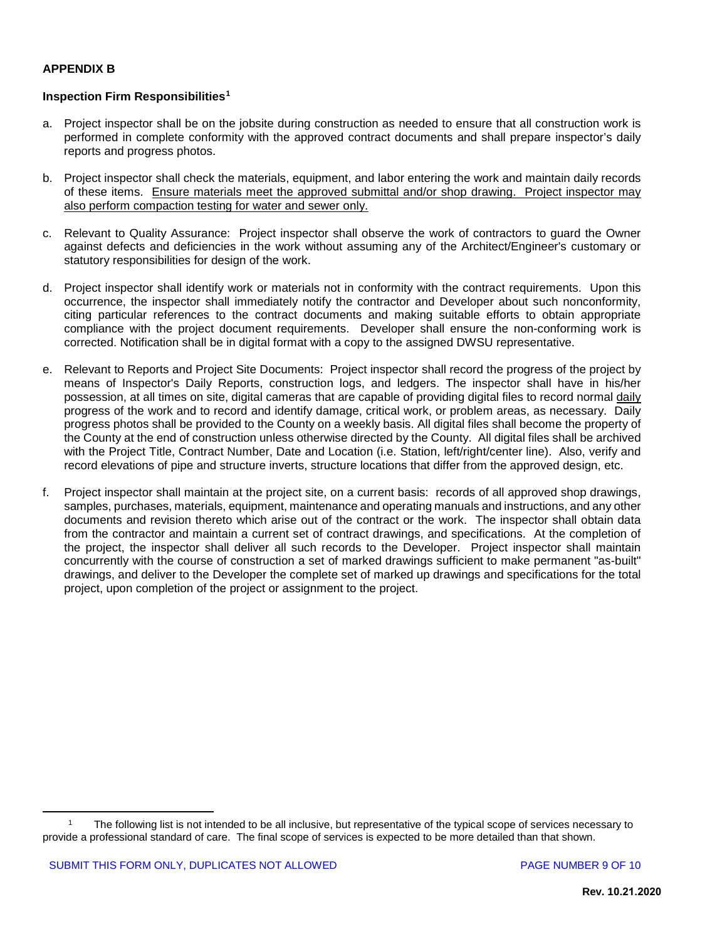## **APPENDIX B**

## **Inspection Firm Responsibilities[1](#page-8-0)**

- a. Project inspector shall be on the jobsite during construction as needed to ensure that all construction work is performed in complete conformity with the approved contract documents and shall prepare inspector's daily reports and progress photos.
- b. Project inspector shall check the materials, equipment, and labor entering the work and maintain daily records of these items. Ensure materials meet the approved submittal and/or shop drawing. Project inspector may also perform compaction testing for water and sewer only.
- c. Relevant to Quality Assurance: Project inspector shall observe the work of contractors to guard the Owner against defects and deficiencies in the work without assuming any of the Architect/Engineer's customary or statutory responsibilities for design of the work.
- d. Project inspector shall identify work or materials not in conformity with the contract requirements. Upon this occurrence, the inspector shall immediately notify the contractor and Developer about such nonconformity, citing particular references to the contract documents and making suitable efforts to obtain appropriate compliance with the project document requirements. Developer shall ensure the non-conforming work is corrected. Notification shall be in digital format with a copy to the assigned DWSU representative.
- e. Relevant to Reports and Project Site Documents: Project inspector shall record the progress of the project by means of Inspector's Daily Reports, construction logs, and ledgers. The inspector shall have in his/her possession, at all times on site, digital cameras that are capable of providing digital files to record normal daily progress of the work and to record and identify damage, critical work, or problem areas, as necessary. Daily progress photos shall be provided to the County on a weekly basis. All digital files shall become the property of the County at the end of construction unless otherwise directed by the County. All digital files shall be archived with the Project Title, Contract Number, Date and Location (i.e. Station, left/right/center line). Also, verify and record elevations of pipe and structure inverts, structure locations that differ from the approved design, etc.
- f. Project inspector shall maintain at the project site, on a current basis: records of all approved shop drawings, samples, purchases, materials, equipment, maintenance and operating manuals and instructions, and any other documents and revision thereto which arise out of the contract or the work. The inspector shall obtain data from the contractor and maintain a current set of contract drawings, and specifications. At the completion of the project, the inspector shall deliver all such records to the Developer. Project inspector shall maintain concurrently with the course of construction a set of marked drawings sufficient to make permanent "as-built" drawings, and deliver to the Developer the complete set of marked up drawings and specifications for the total project, upon completion of the project or assignment to the project.

<span id="page-8-0"></span><sup>1</sup> The following list is not intended to be all inclusive, but representative of the typical scope of services necessary to provide a professional standard of care. The final scope of services is expected to be more detailed than that shown.